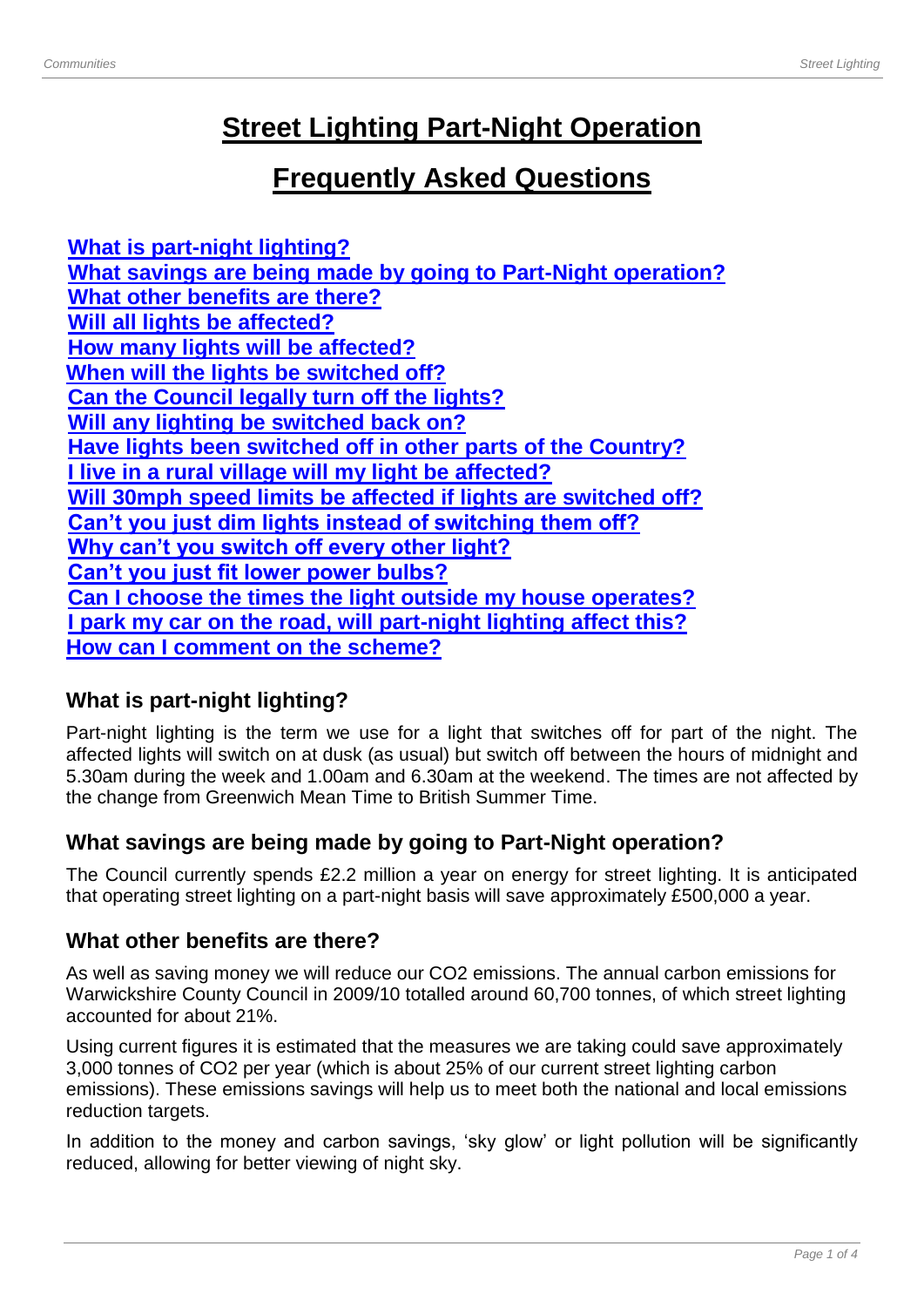# **Street Lighting Part-Night Operation**

# **Frequently Asked Questions**

**[What is part-night lighting?](#page-0-0) [What savings are being made by going to Part-Night operation?](#page-0-1) [What other benefits are there?](#page-0-2) [Will all lights be affected?](#page-1-0) [How many lights](#page-1-1) will be affected? [When will the lights be switched off?](#page-1-2) [Can the Council legally turn off the lights?](#page-1-3) [Will any lighting be switched back on?](#page-2-0) [Have lights been switched off in other parts of the Country?](#page-2-1) [I live in a rural village will my light be affected?](#page-2-2) [Will 30mph speed limits be affected if lights are switched off?](#page-2-3) [Can't you just dim lights instead of switching them off?](#page-2-4) [Why can't you switch off every other light?](#page-2-5) [Can't you just fit lower power bulbs?](#page-2-6) [Can I choose the times the light outside my house operates?](#page-3-0) [I park my car on the road, will part-night lighting affect this?](#page-3-1) [How can I comment on](#page-3-2) the scheme?**

# <span id="page-0-0"></span>**What is part-night lighting?**

Part-night lighting is the term we use for a light that switches off for part of the night. The affected lights will switch on at dusk (as usual) but switch off between the hours of midnight and 5.30am during the week and 1.00am and 6.30am at the weekend. The times are not affected by the change from Greenwich Mean Time to British Summer Time.

# <span id="page-0-1"></span>**What savings are being made by going to Part-Night operation?**

The Council currently spends £2.2 million a year on energy for street lighting. It is anticipated that operating street lighting on a part-night basis will save approximately £500,000 a year.

## <span id="page-0-2"></span>**What other benefits are there?**

As well as saving money we will reduce our CO2 emissions. The annual carbon emissions for Warwickshire County Council in 2009/10 totalled around 60,700 tonnes, of which street lighting accounted for about 21%.

Using current figures it is estimated that the measures we are taking could save approximately 3,000 tonnes of CO2 per year (which is about 25% of our current street lighting carbon emissions). These emissions savings will help us to meet both the national and local emissions reduction targets.

In addition to the money and carbon savings, 'sky glow' or light pollution will be significantly reduced, allowing for better viewing of night sky.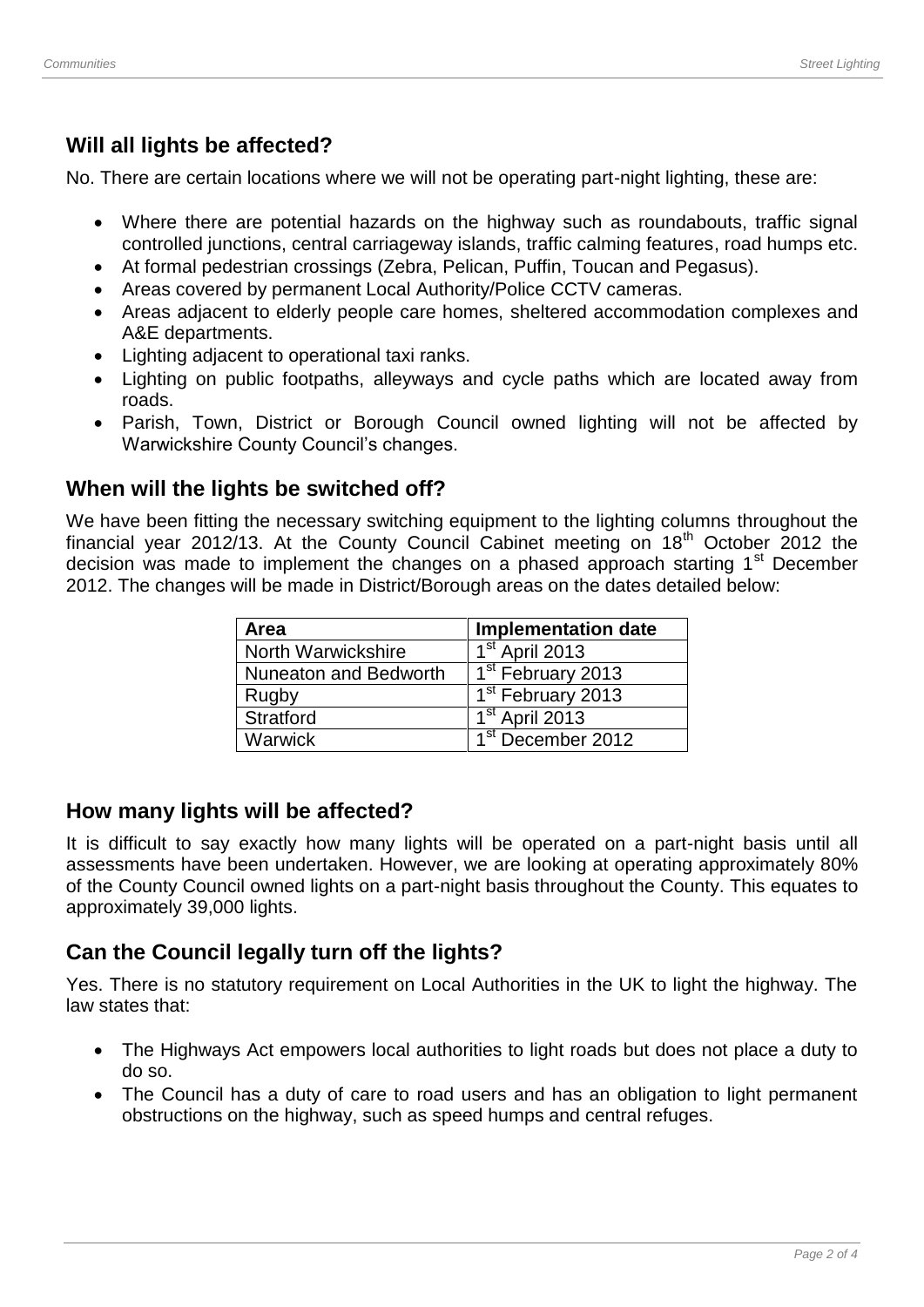#### <span id="page-1-0"></span>**Will all lights be affected?**

No. There are certain locations where we will not be operating part-night lighting, these are:

- Where there are potential hazards on the highway such as roundabouts, traffic signal controlled junctions, central carriageway islands, traffic calming features, road humps etc.
- At formal pedestrian crossings (Zebra, Pelican, Puffin, Toucan and Pegasus).
- Areas covered by permanent Local Authority/Police CCTV cameras.
- Areas adjacent to elderly people care homes, sheltered accommodation complexes and A&E departments.
- Lighting adjacent to operational taxi ranks.
- Lighting on public footpaths, alleyways and cycle paths which are located away from roads.
- Parish, Town, District or Borough Council owned lighting will not be affected by Warwickshire County Council's changes.

#### <span id="page-1-2"></span>**When will the lights be switched off?**

We have been fitting the necessary switching equipment to the lighting columns throughout the financial year 2012/13. At the County Council Cabinet meeting on 18<sup>th</sup> October 2012 the decision was made to implement the changes on a phased approach starting 1<sup>st</sup> December 2012. The changes will be made in District/Borough areas on the dates detailed below:

| Area                      | <b>Implementation date</b>    |
|---------------------------|-------------------------------|
| <b>North Warwickshire</b> | 1 <sup>st</sup> April 2013    |
| Nuneaton and Bedworth     | $1st$ February 2013           |
| Rugby                     | 1 <sup>st</sup> February 2013 |
| Stratford                 | 1 <sup>st</sup> April 2013    |
| Warwick                   | 1 <sup>st</sup> December 2012 |

#### <span id="page-1-1"></span>**How many lights will be affected?**

It is difficult to say exactly how many lights will be operated on a part-night basis until all assessments have been undertaken. However, we are looking at operating approximately 80% of the County Council owned lights on a part-night basis throughout the County. This equates to approximately 39,000 lights.

#### <span id="page-1-3"></span>**Can the Council legally turn off the lights?**

Yes. There is no statutory requirement on Local Authorities in the UK to light the highway. The law states that:

- The Highways Act empowers local authorities to light roads but does not place a duty to do so.
- The Council has a duty of care to road users and has an obligation to light permanent obstructions on the highway, such as speed humps and central refuges.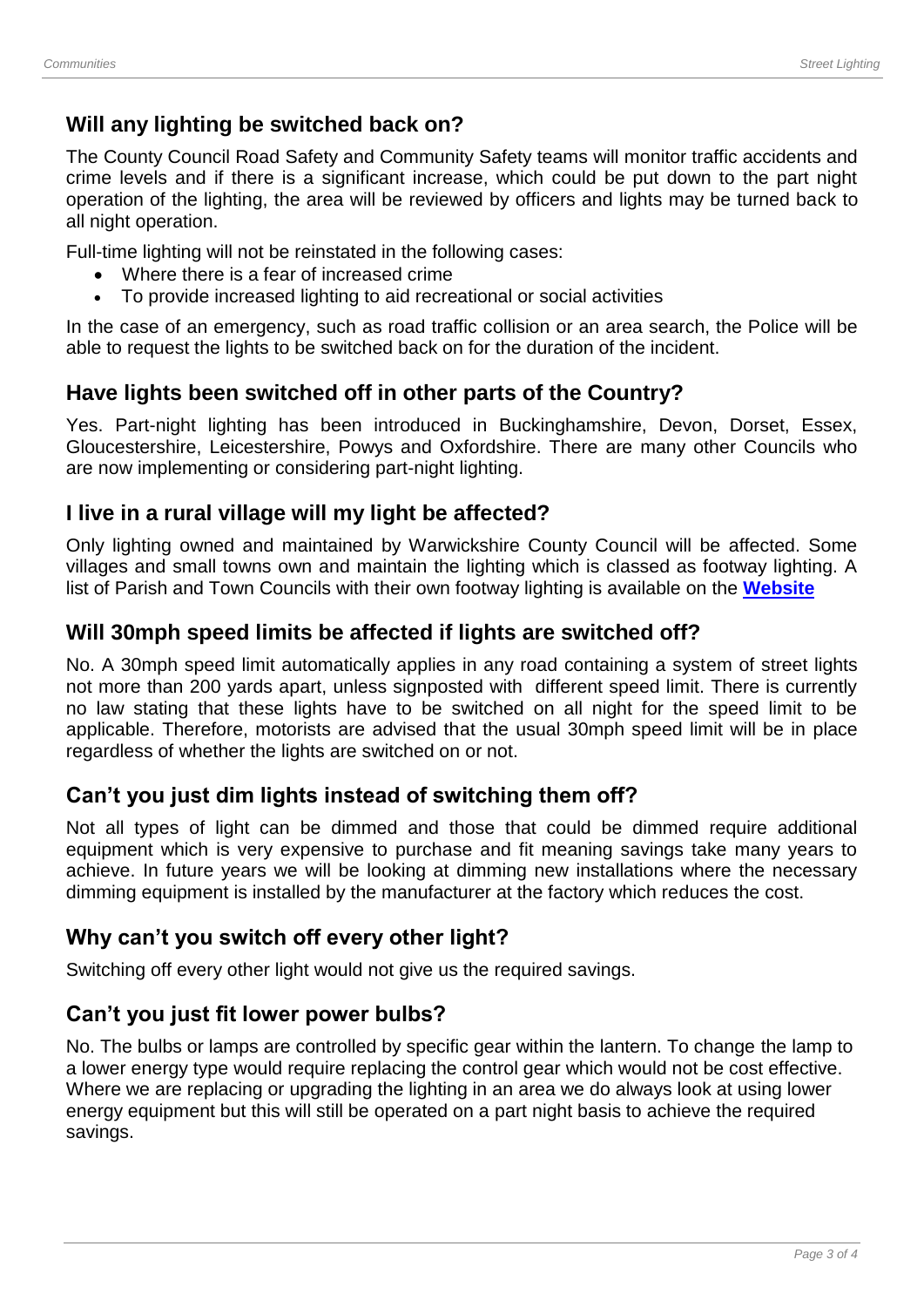## <span id="page-2-0"></span>**Will any lighting be switched back on?**

The County Council Road Safety and Community Safety teams will monitor traffic accidents and crime levels and if there is a significant increase, which could be put down to the part night operation of the lighting, the area will be reviewed by officers and lights may be turned back to all night operation.

Full-time lighting will not be reinstated in the following cases:

- Where there is a fear of increased crime
- To provide increased lighting to aid recreational or social activities

In the case of an emergency, such as road traffic collision or an area search, the Police will be able to request the lights to be switched back on for the duration of the incident.

#### <span id="page-2-1"></span>**Have lights been switched off in other parts of the Country?**

Yes. Part-night lighting has been introduced in Buckinghamshire, Devon, Dorset, Essex, Gloucestershire, Leicestershire, Powys and Oxfordshire. There are many other Councils who are now implementing or considering part-night lighting.

#### <span id="page-2-2"></span>**I live in a rural village will my light be affected?**

Only lighting owned and maintained by Warwickshire County Council will be affected. Some villages and small towns own and maintain the lighting which is classed as footway lighting. A list of Parish and Town Councils with their own footway lighting is available on the **[Website](http://www.warwickshire.gov.uk/streetlighting)**

#### <span id="page-2-3"></span>**Will 30mph speed limits be affected if lights are switched off?**

No. A 30mph speed limit automatically applies in any road containing a system of street lights not more than 200 yards apart, unless signposted with different speed limit. There is currently no law stating that these lights have to be switched on all night for the speed limit to be applicable. Therefore, motorists are advised that the usual 30mph speed limit will be in place regardless of whether the lights are switched on or not.

## <span id="page-2-4"></span>**Can't you just dim lights instead of switching them off?**

Not all types of light can be dimmed and those that could be dimmed require additional equipment which is very expensive to purchase and fit meaning savings take many years to achieve. In future years we will be looking at dimming new installations where the necessary dimming equipment is installed by the manufacturer at the factory which reduces the cost.

## <span id="page-2-5"></span>**Why can't you switch off every other light?**

Switching off every other light would not give us the required savings.

#### <span id="page-2-6"></span>**Can't you just fit lower power bulbs?**

No. The bulbs or lamps are controlled by specific gear within the lantern. To change the lamp to a lower energy type would require replacing the control gear which would not be cost effective. Where we are replacing or upgrading the lighting in an area we do always look at using lower energy equipment but this will still be operated on a part night basis to achieve the required savings.